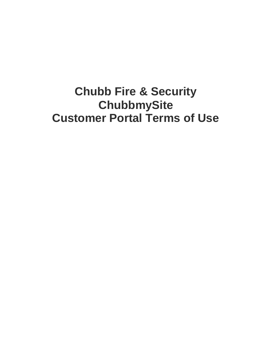# **Chubb Fire & Security ChubbmySite Customer Portal Terms of Use**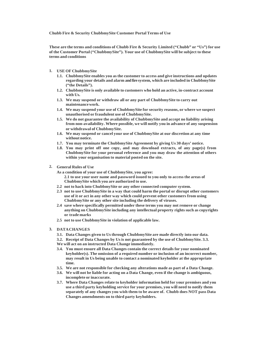#### **Chubb Fire & Security ChubbmySite Customer Portal Terms of Use**

**These are the terms and conditions of Chubb Fire & Security Limited ("Chubb" or "Us") for use of the Customer Portal ("ChubbmySite"). Your use of ChubbmySite will be subject to these terms and conditions**

- **1. USE OF ChubbmySite**
	- **1.1. ChubbmySite enables you asthe customer to access and give instructions and updates regarding your details and alarm and fire system, which are included in ChubbmySite ("the Details").**
	- **1.2. ChubbmySite is only available to customers who hold an active, in-contract account with Us.**
	- **1.3. We may suspend or withdraw all or any part of ChubbmySite to carry out maintenancework.**
	- **1.4. We may suspend your use of ChubbmySite for security reasons, or where we suspect unauthorised or fraudulent use of ChubbmySite.**
	- **1.5. We do not guarantee the availability of ChubbmySite and accept no liability arising from non-availability. Where possible, we will notify you in advance of any suspension or withdrawal of ChubbmySite.**
	- **1.6. We may suspend or cancel your use of ChubbmySite at our discretion at any time without notice.**
	- **1.7. You may terminate the ChubbmySite Agreement by giving Us 30 days' notice.**
	- **1.8. You may print off one copy, and may download extracts, of any page(s) from ChubbmySite for your personal reference and you may draw the attention of others within your organisation to material posted on the site.**
- **2. General Rules of Use**
	- **As a condition of your use of ChubbmySite, you agree: 2.1 to use your user name and password issued to you only to access the areas of ChubbmySite which you are authorized to use.**
	- **2.2 not to hack into ChubbmySite or any other connected computer system.**
	- **2.3 not to use ChubbmySite in a way that could harm the portal or disrupt other customers use of it or act in any other way which could prevent other customers from using ChubbmySite or any other site including the delivery of viruses.**
	- **2.4 save where specifically permitted under these terms you may not remove or change anything on ChubbmySite including any intellectual property rights such as copyrights or trade marks**
	- **2.5 not to use ChubbmySite in violation of applicable law.**
- **3. DATACHANGES**
	- **3.1. Data Changes given to Usthrough ChubbmySite are made directly into our data.**
	- **3.2. Receipt of Data Changes by Us is not guaranteed by the use of ChubbmySite. 3.3.**
	- **We will act on an instructed Data Change immediately.**
	- **3.4. You must ensure all Data Changes contain the correct details for your nominated keyholder(s). The omission of a required number or inclusion of an incorrect number, may result in Us being unable to contact a nominated keyholder at the appropriate time.**
	- **3.5. We are not responsible for checking any alterations made as part of a Data Change.**
	- **3.6. We will not be liable for acting on a Data Change, even if the change is ambiguous, incomplete or inaccurate.**
	- **3.7. Where Data Changes relate to keyholder information held for your premises and you use a third party keyholding service for your premises, you will need to notify them separately of any changes you wish them to be aware of. Chubb does NOT pass Data Changes amendments on to third party keyholders.**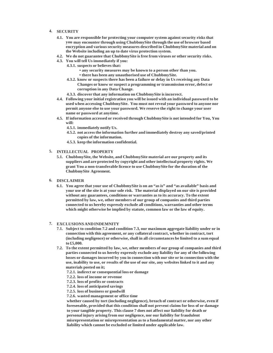## **4. SECURITY**

- **4.1. You are responsible for protecting your computer system against security risks that you may encounter through using ChubbmySite through the use of browser based encryption and varioussecurity measures described in ChubbmySite material and on the Website including an up to date virus protection system.**
- **4.2. We do not guarantee that ChubbmySite is free from viruses or other security risks.**
- **4.3. You will tell Us immediately if you:**
	- **4.3.1. suspects or believes that:**
		- **• any security measures may be known to a person other than you. • there has been any unauthorised use of ChubbmySite.**
	- **4.3.2. know or suspects there has been a failure or delay in Us receiving any Data Changes or know or suspect a programming or transmission error, defect or corruption in any Data Change.**
	- **4.3.3. discover that any information on ChubbmySite isincorrect.**
- **4.4. Following your initial registration you will be issued with an individual password to be used when accessing ChubbmySite. You must not reveal your password to anyone nor permit anyone else to use your password. We reserve the right to change your user name or password at anytime.**
- **4.5. If information accessed or received through ChubbmySite is not intended for You, You will:**
	- **4.5.1. immediately notify Us.**
	- **4.5.2. not accessthe information further and immediately destroy any saved/printed copies of the information.**
	- **4.5.3. keep the information confidential.**
- **5. INTELLECTUAL PROPERTY**
	- **5.1. ChubbmySite, the Website, and ChubbmySite material are our property and its suppliers and are protected by copyright and other intellectual property rights. We grant You a non-transferable licence to use ChubbmySite for the duration of the ChubbmySite Agreement.**
- **6. DISCLAIMER**
	- **6.1. You agree that your use of ChubbmySite is on an "as is" and "as available" basis and your use of the site is at your sole risk. The material displayed on our site is provided without any guarantees, conditions or warranties as to its accuracy. To the extent permitted by law, we, other members of our group of companies and third parties connected to us hereby expressly exclude all conditions, warranties and other terms which might otherwise be implied by statute, common law or the law of equity.**

#### **7. EXCLUSIONSANDINDEMNITY**

- **7.1. Subject to condition 7.2 and condition 7.3, our maximum aggregate liability under or in connection with this agreement, or any collateral contract, whether in contract, tort (including negligence) or otherwise, shall in all circumstances be limited to a sum equal to £5,000.**
- **7.2. To the extent permitted by law, we, other members of our group of companies and third parties connected to us hereby expressly exclude any liability for any of the following losses or damages incurred by you in connection with our site or in connection with the use, inability to use, or results of the use of our site, any websites linked to it and any materials posted on it;**
	- **7.2.1. indirect or consequential loss or damage**
	- **7.2.2. loss of income or revenue**
	- **7.2.3. loss of profits or contracts**
	- **7.2.4. loss of anticipated savings**
	- **7.2.5. loss of business or goodwill**
	- **7.2.6. wasted management or office time**

**whether caused by tort (including negligence), breach of contract or otherwise, even if foreseeable, provided that this condition shall not prevent claims for loss of or damage to your tangible property. This clause 7 does not affect our liability for death or personal injury arising from our negligence, nor our liability for fraudulent misrepresentation or misrepresentation as to a fundamental matter, nor any other liability which cannot be excluded or limited under applicable law.**